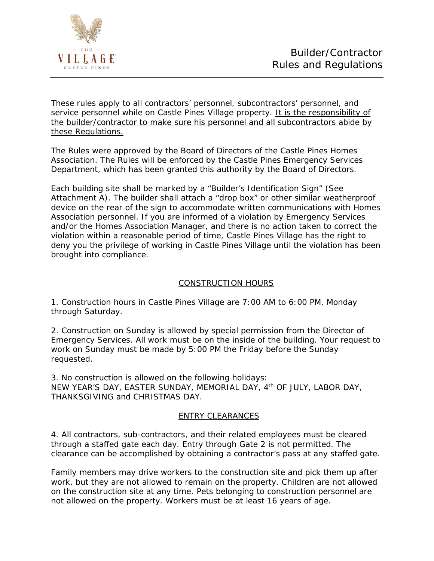

These rules apply to all contractors' personnel, subcontractors' personnel, and service personnel while on Castle Pines Village property. It is the responsibility of the builder/contractor to make sure his personnel and all subcontractors abide by these Regulations.

The Rules were approved by the Board of Directors of the Castle Pines Homes Association. The Rules will be enforced by the Castle Pines Emergency Services Department, which has been granted this authority by the Board of Directors.

Each building site shall be marked by a "Builder's Identification Sign" (See Attachment A). The builder shall attach a "drop box" or other similar weatherproof device on the rear of the sign to accommodate written communications with Homes Association personnel. If you are informed of a violation by Emergency Services and/or the Homes Association Manager, and there is no action taken to correct the violation within a reasonable period of time, Castle Pines Village has the right to deny you the privilege of working in Castle Pines Village until the violation has been brought into compliance.

## CONSTRUCTION HOURS

1. Construction hours in Castle Pines Village are 7:00 AM to 6:00 PM, Monday through Saturday.

2. Construction on Sunday is allowed by special permission from the Director of Emergency Services. All work must be on the inside of the building. Your request to work on Sunday must be made by 5:00 PM the Friday before the Sunday requested.

3. No construction is allowed on the following holidays: NEW YEAR'S DAY, EASTER SUNDAY, MEMORIAL DAY, 4th OF JULY, LABOR DAY, THANKSGIVING and CHRISTMAS DAY.

## ENTRY CLEARANCES

4. All contractors, sub-contractors, and their related employees must be cleared through a staffed gate each day. Entry through Gate 2 is not permitted. The clearance can be accomplished by obtaining a contractor's pass at any staffed gate.

Family members may drive workers to the construction site and pick them up after work, but they are not allowed to remain on the property. Children are not allowed on the construction site at any time. Pets belonging to construction personnel are not allowed on the property. Workers must be at least 16 years of age.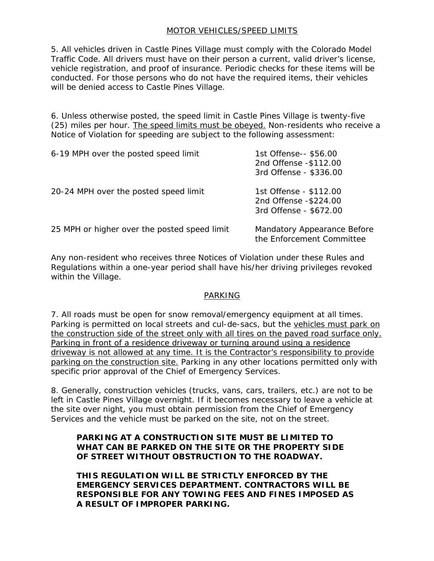## MOTOR VEHICLES/SPEED LIMITS

5. All vehicles driven in Castle Pines Village must comply with the Colorado Model Traffic Code. All drivers must have on their person a current, valid driver's license, vehicle registration, and proof of insurance. Periodic checks for these items will be conducted. For those persons who do not have the required items, their vehicles will be denied access to Castle Pines Village.

6. Unless otherwise posted, the speed limit in Castle Pines Village is twenty-five (25) miles per hour. The speed limits must be obeyed. Non-residents who receive a Notice of Violation for speeding are subject to the following assessment:

| 6-19 MPH over the posted speed limit         | 1st Offense-- \$56.00<br>2nd Offense - \$112.00<br>3rd Offense - \$336.00  |
|----------------------------------------------|----------------------------------------------------------------------------|
| 20-24 MPH over the posted speed limit        | 1st Offense - \$112.00<br>2nd Offense - \$224.00<br>3rd Offense - \$672.00 |
| 25 MPH or higher over the posted speed limit | Mandatory Appearance Before<br>the Enforcement Committee                   |

Any non-resident who receives three Notices of Violation under these Rules and Regulations within a one-year period shall have his/her driving privileges revoked within the Village.

## PARKING

7. All roads must be open for snow removal/emergency equipment at all times. Parking is permitted on local streets and cul-de-sacs, but the vehicles must park on the construction side of the street only with all tires on the paved road surface only. Parking in front of a residence driveway or turning around using a residence driveway is not allowed at any time. It is the Contractor's responsibility to provide parking on the construction site. Parking in any other locations permitted only with specific prior approval of the Chief of Emergency Services.

8. Generally, construction vehicles (trucks, vans, cars, trailers, etc.) are not to be left in Castle Pines Village overnight. If it becomes necessary to leave a vehicle at the site over night, you must obtain permission from the Chief of Emergency Services and the vehicle must be parked on the site, not on the street.

### **PARKING AT A CONSTRUCTION SITE MUST BE LIMITED TO WHAT CAN BE PARKED ON THE SITE OR THE PROPERTY SIDE OF STREET WITHOUT OBSTRUCTION TO THE ROADWAY.**

**THIS REGULATION WILL BE STRICTLY ENFORCED BY THE EMERGENCY SERVICES DEPARTMENT. CONTRACTORS WILL BE RESPONSIBLE FOR ANY TOWING FEES AND FINES IMPOSED AS A RESULT OF IMPROPER PARKING.**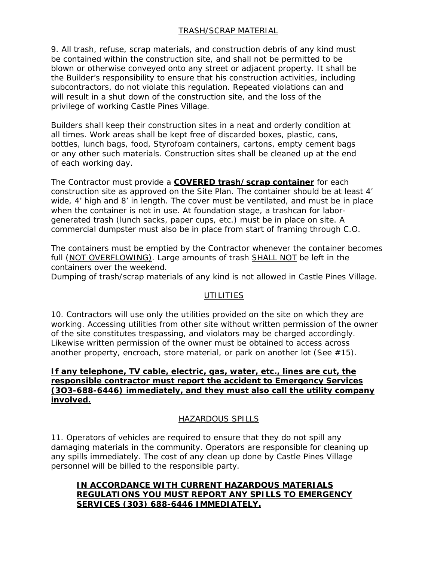# TRASH/SCRAP MATERIAL

9. All trash, refuse, scrap materials, and construction debris of any kind must be contained within the construction site, and shall not be permitted to be blown or otherwise conveyed onto any street or adjacent property. It shall be the Builder's responsibility to ensure that his construction activities, including subcontractors, do not violate this regulation. Repeated violations can and will result in a shut down of the construction site, and the loss of the privilege of working Castle Pines Village.

Builders shall keep their construction sites in a neat and orderly condition at all times. Work areas shall be kept free of discarded boxes, plastic, cans, bottles, lunch bags, food, Styrofoam containers, cartons, empty cement bags or any other such materials. Construction sites shall be cleaned up at the end of each working day.

The Contractor must provide a **COVERED trash/scrap container** for each construction site as approved on the Site Plan. The container should be at least 4' wide, 4' high and 8' in length. The cover must be ventilated, and must be in place when the container is not in use. At foundation stage, a trashcan for laborgenerated trash (lunch sacks, paper cups, etc.) must be in place on site. A commercial dumpster must also be in place from start of framing through C.O.

The containers must be emptied by the Contractor whenever the container becomes full (NOT OVERFLOWING). Large amounts of trash SHALL NOT be left in the containers over the weekend.

Dumping of trash/scrap materials of any kind is not allowed in Castle Pines Village.

## **UTILITIES**

10. Contractors will use only the utilities provided on the site on which they are working. Accessing utilities from other site without written permission of the owner of the site constitutes trespassing, and violators may be charged accordingly. Likewise written permission of the owner must be obtained to access across another property, encroach, store material, or park on another lot (See  $#15$ ).

### **If any telephone, TV cable, electric, gas, water, etc., lines are cut, the responsible contractor must report the accident to Emergency Services (3O3-688-6446) immediately, and they must also call the utility company involved.**

## HAZARDOUS SPILLS

11. Operators of vehicles are required to ensure that they do not spill any damaging materials in the community. Operators are responsible for cleaning up any spills immediately. The cost of any clean up done by Castle Pines Village personnel will be billed to the responsible party.

# **IN ACCORDANCE WITH CURRENT HAZARDOUS MATERIALS REGULATIONS YOU MUST REPORT ANY SPILLS TO EMERGENCY SERVICES (303) 688-6446 IMMEDIATELY.**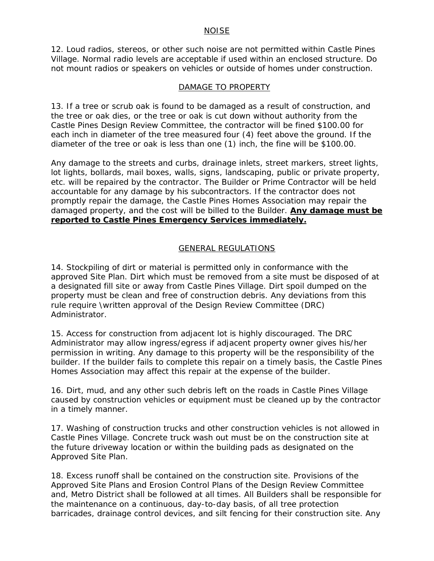#### NOISE

12. Loud radios, stereos, or other such noise are not permitted within Castle Pines Village. Normal radio levels are acceptable if used within an enclosed structure. Do not mount radios or speakers on vehicles or outside of homes under construction.

### DAMAGE TO PROPERTY

13. If a tree or scrub oak is found to be damaged as a result of construction, and the tree or oak dies, or the tree or oak is cut down without authority from the Castle Pines Design Review Committee, the contractor will be fined \$100.00 for each inch in diameter of the tree measured four (4) feet above the ground. If the diameter of the tree or oak is less than one (1) inch, the fine will be \$100.00.

Any damage to the streets and curbs, drainage inlets, street markers, street lights, lot lights, bollards, mail boxes, walls, signs, landscaping, public or private property, etc. will be repaired by the contractor. The Builder or Prime Contractor will be held accountable for any damage by his subcontractors. If the contractor does not promptly repair the damage, the Castle Pines Homes Association may repair the damaged property, and the cost will be billed to the Builder. **Any damage must be reported to Castle Pines Emergency Services immediately.**

### GENERAL REGULATIONS

14. Stockpiling of dirt or material is permitted only in conformance with the approved Site Plan. Dirt which must be removed from a site must be disposed of at a designated fill site or away from Castle Pines Village. Dirt spoil dumped on the property must be clean and free of construction debris. Any deviations from this rule require \written approval of the Design Review Committee (DRC) Administrator.

15. Access for construction from adjacent lot is highly discouraged. The DRC Administrator may allow ingress/egress if adjacent property owner gives his/her permission in writing. Any damage to this property will be the responsibility of the builder. If the builder fails to complete this repair on a timely basis, the Castle Pines Homes Association may affect this repair at the expense of the builder.

16. Dirt, mud, and any other such debris left on the roads in Castle Pines Village caused by construction vehicles or equipment must be cleaned up by the contractor in a timely manner.

17. Washing of construction trucks and other construction vehicles is not allowed in Castle Pines Village. Concrete truck wash out must be on the construction site at the future driveway location or within the building pads as designated on the Approved Site Plan.

18. Excess runoff shall be contained on the construction site. Provisions of the Approved Site Plans and Erosion Control Plans of the Design Review Committee and, Metro District shall be followed at all times. All Builders shall be responsible for the maintenance on a continuous, day-to-day basis, of all tree protection barricades, drainage control devices, and silt fencing for their construction site. Any